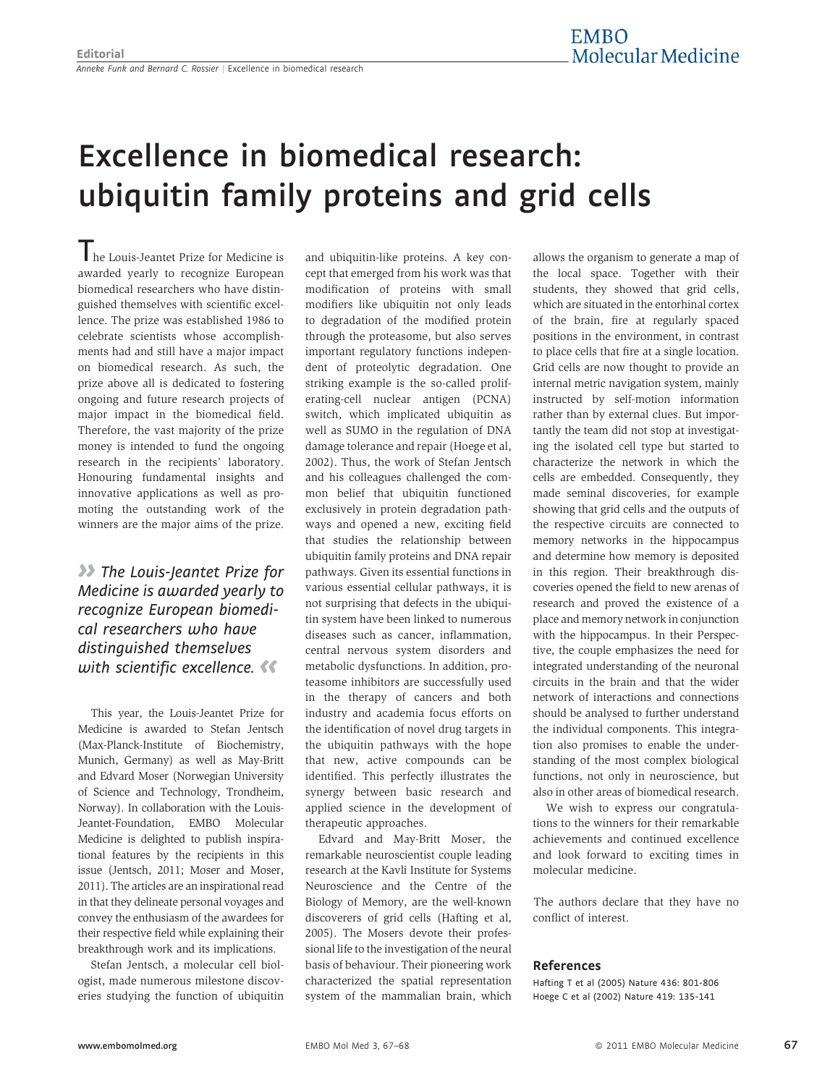## Excellence in biomedical research: ubiquitin family proteins and grid cells

*T*he Louis-Jeantet Prize for Medicine is awarded yearly to recognize European biomedical researchers who have distinguished themselves with scientific excellence. The prize was established 1986 to celebrate scientists whose accomplishments had and still have a major impact on biomedical research. As such, the prize above all is dedicated to fostering ongoing and future research projects of major impact in the biomedical field. Therefore, the vast majority of the prize money is intended to fund the ongoing research in the recipients' laboratory. Honouring fundamental insights and innovative applications as well as promoting the outstanding work of the winners are the major aims of the prize.

**>>**> The Louis-Jeantet Prize for Medicine is awarded yearly to recognize European biomedical researchers who have distinguished themselves with scientific excellence.  $\ll$ 

This year, the Louis-Jeantet Prize for Medicine is awarded to Stefan Jentsch (Max-Planck-Institute of Biochemistry, Munich, Germany) as well as May-Britt and Edvard Moser (Norwegian University of Science and Technology, Trondheim, Norway). In collaboration with the Louis-Jeantet-Foundation, EMBO Molecular Medicine is delighted to publish inspirational features by the recipients in this issue (Jentsch, 2011; Moser and Moser, 2011). The articles are an inspirational read in that they delineate personal voyages and convey the enthusiasm of the awardees for their respective field while explaining their breakthrough work and its implications.

Stefan Jentsch, a molecular cell biologist, made numerous milestone discoveries studying the function of ubiquitin and ubiquitin-like proteins. A key concept that emerged from his work was that modification of proteins with small modifiers like ubiquitin not only leads to degradation of the modified protein through the proteasome, but also serves important regulatory functions independent of proteolytic degradation. One striking example is the so-called proliferating-cell nuclear antigen (PCNA) switch, which implicated ubiquitin as well as SUMO in the regulation of DNA damage tolerance and repair (Hoege et al, 2002). Thus, the work of Stefan Jentsch and his colleagues challenged the common belief that ubiquitin functioned exclusively in protein degradation pathways and opened a new, exciting field that studies the relationship between ubiquitin family proteins and DNA repair pathways. Given its essential functions in various essential cellular pathways, it is not surprising that defects in the ubiquitin system have been linked to numerous diseases such as cancer, inflammation, central nervous system disorders and metabolic dysfunctions. In addition, proteasome inhibitors are successfully used in the therapy of cancers and both industry and academia focus efforts on the identification of novel drug targets in the ubiquitin pathways with the hope that new, active compounds can be identified. This perfectly illustrates the synergy between basic research and applied science in the development of therapeutic approaches.

Edvard and May-Britt Moser, the remarkable neuroscientist couple leading research at the Kavli Institute for Systems Neuroscience and the Centre of the Biology of Memory, are the well-known discoverers of grid cells (Hafting et al, 2005). The Mosers devote their professional life to the investigation of the neural basis of behaviour. Their pioneering work characterized the spatial representation system of the mammalian brain, which

allows the organism to generate a map of the local space. Together with their students, they showed that grid cells, which are situated in the entorhinal cortex of the brain, fire at regularly spaced positions in the environment, in contrast to place cells that fire at a single location. Grid cells are now thought to provide an internal metric navigation system, mainly instructed by self-motion information rather than by external clues. But importantly the team did not stop at investigating the isolated cell type but started to characterize the network in which the cells are embedded. Consequently, they made seminal discoveries, for example showing that grid cells and the outputs of the respective circuits are connected to memory networks in the hippocampus and determine how memory is deposited in this region. Their breakthrough discoveries opened the field to new arenas of research and proved the existence of a place and memory network in conjunction with the hippocampus. In their Perspective, the couple emphasizes the need for integrated understanding of the neuronal circuits in the brain and that the wider network of interactions and connections should be analysed to further understand the individual components. This integration also promises to enable the understanding of the most complex biological functions, not only in neuroscience, but also in other areas of biomedical research.

We wish to express our congratulations to the winners for their remarkable achievements and continued excellence and look forward to exciting times in molecular medicine.

The authors declare that they have no conflict of interest.

## References

Hafting T et al (2005) Nature 436: 801-806 Hoege C et al (2002) Nature 419: 135-141